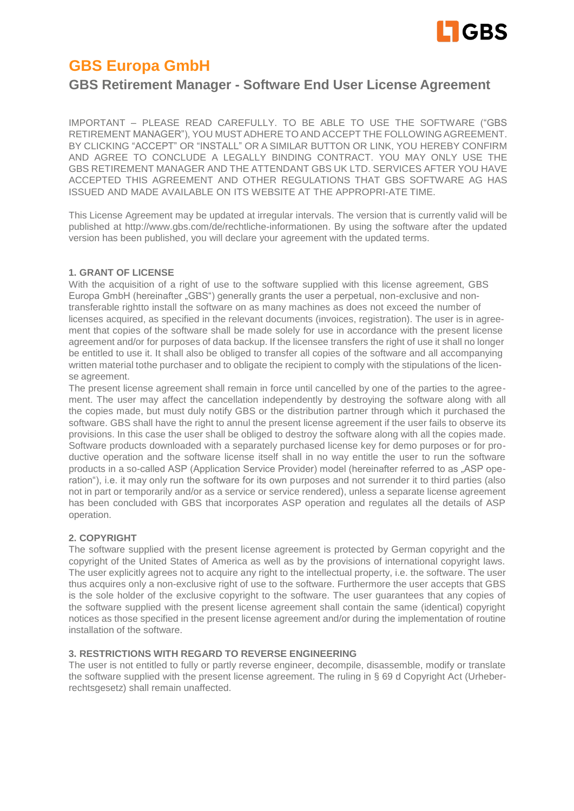

# **GBS Europa GmbH**

# **GBS Retirement Manager - Software End User License Agreement**

IMPORTANT – PLEASE READ CAREFULLY. TO BE ABLE TO USE THE SOFTWARE ("GBS RETIREMENT MANAGER"), YOU MUSTADHERE TO AND ACCEPT THE FOLLOWING AGREEMENT. BY CLICKING "ACCEPT" OR "INSTALL" OR A SIMILAR BUTTON OR LINK, YOU HEREBY CONFIRM AND AGREE TO CONCLUDE A LEGALLY BINDING CONTRACT. YOU MAY ONLY USE THE GBS RETIREMENT MANAGER AND THE ATTENDANT GBS UK LTD. SERVICES AFTER YOU HAVE ACCEPTED THIS AGREEMENT AND OTHER REGULATIONS THAT GBS SOFTWARE AG HAS ISSUED AND MADE AVAILABLE ON ITS WEBSITE AT THE APPROPRI-ATE TIME.

This License Agreement may be updated at irregular intervals. The version that is currently valid will be published at [http://www.gbs.com/de/rechtliche-informationen. B](http://www.gbs.com/de/rechtliche-informationen)y using the software after the updated version has been published, you will declare your agreement with the updated terms.

# **1. GRANT OF LICENSE**

With the acquisition of a right of use to the software supplied with this license agreement, GBS Europa GmbH (hereinafter "GBS") generally grants the user a perpetual, non-exclusive and nontransferable rightto install the software on as many machines as does not exceed the number of licenses acquired, as specified in the relevant documents (invoices, registration). The user is in agreement that copies of the software shall be made solely for use in accordance with the present license agreement and/or for purposes of data backup. If the licensee transfers the right of use it shall no longer be entitled to use it. It shall also be obliged to transfer all copies of the software and all accompanying written material tothe purchaser and to obligate the recipient to comply with the stipulations of the license agreement.

The present license agreement shall remain in force until cancelled by one of the parties to the agreement. The user may affect the cancellation independently by destroying the software along with all the copies made, but must duly notify GBS or the distribution partner through which it purchased the software. GBS shall have the right to annul the present license agreement if the user fails to observe its provisions. In this case the user shall be obliged to destroy the software along with all the copies made. Software products downloaded with a separately purchased license key for demo purposes or for productive operation and the software license itself shall in no way entitle the user to run the software products in a so-called ASP (Application Service Provider) model (hereinafter referred to as "ASP operation"), i.e. it may only run the software for its own purposes and not surrender it to third parties (also not in part or temporarily and/or as a service or service rendered), unless a separate license agreement has been concluded with GBS that incorporates ASP operation and regulates all the details of ASP operation.

# **2. COPYRIGHT**

The software supplied with the present license agreement is protected by German copyright and the copyright of the United States of America as well as by the provisions of international copyright laws. The user explicitly agrees not to acquire any right to the intellectual property, i.e. the software. The user thus acquires only a non-exclusive right of use to the software. Furthermore the user accepts that GBS is the sole holder of the exclusive copyright to the software. The user guarantees that any copies of the software supplied with the present license agreement shall contain the same (identical) copyright notices as those specified in the present license agreement and/or during the implementation of routine installation of the software.

# **3. RESTRICTIONS WITH REGARD TO REVERSE ENGINEERING**

The user is not entitled to fully or partly reverse engineer, decompile, disassemble, modify or translate the software supplied with the present license agreement. The ruling in § 69 d Copyright Act (Urheberrechtsgesetz) shall remain unaffected.